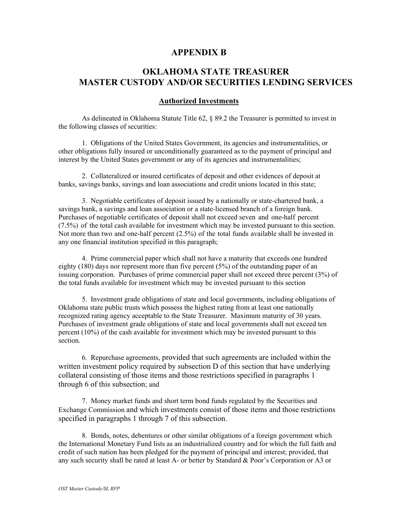## **APPENDIX B**

## **OKLAHOMA STATE TREASURER MASTER CUSTODY AND/OR SECURITIES LENDING SERVICES**

## **Authorized Investments**

As delineated in Oklahoma Statute Title 62, § 89.2 the Treasurer is permitted to invest in the following classes of securities:

1. Obligations of the United States Government, its agencies and instrumentalities, or other obligations fully insured or unconditionally guaranteed as to the payment of principal and interest by the United States government or any of its agencies and instrumentalities;

2. Collateralized or insured certificates of deposit and other evidences of deposit at banks, savings banks, savings and loan associations and credit unions located in this state;

3. Negotiable certificates of deposit issued by a nationally or state-chartered bank, a savings bank, a savings and loan association or a state-licensed branch of a foreign bank. Purchases of negotiable certificates of deposit shall not exceed seven and one-half percent (7.5%) of the total cash available for investment which may be invested pursuant to this section. Not more than two and one-half percent (2.5%) of the total funds available shall be invested in any one financial institution specified in this paragraph;

4. Prime commercial paper which shall not have a maturity that exceeds one hundred eighty (180) days nor represent more than five percent (5%) of the outstanding paper of an issuing corporation. Purchases of prime commercial paper shall not exceed three percent (3%) of the total funds available for investment which may be invested pursuant to this section

5. Investment grade obligations of state and local governments, including obligations of Oklahoma state public trusts which possess the highest rating from at least one nationally recognized rating agency acceptable to the State Treasurer. Maximum maturity of 30 years. Purchases of investment grade obligations of state and local governments shall not exceed ten percent (10%) of the cash available for investment which may be invested pursuant to this section.

6. Repurchase agreements, provided that such agreements are included within the written investment policy required by subsection D of this section that have underlying collateral consisting of those items and those restrictions specified in paragraphs 1 through 6 of this subsection; and

7. Money market funds and short term bond funds regulated by the Securities and Exchange Commission and which investments consist of those items and those restrictions specified in paragraphs 1 through 7 of this subsection.

8. Bonds, notes, debentures or other similar obligations of a foreign government which the International Monetary Fund lists as an industrialized country and for which the full faith and credit of such nation has been pledged for the payment of principal and interest; provided, that any such security shall be rated at least A- or better by Standard & Poor's Corporation or A3 or